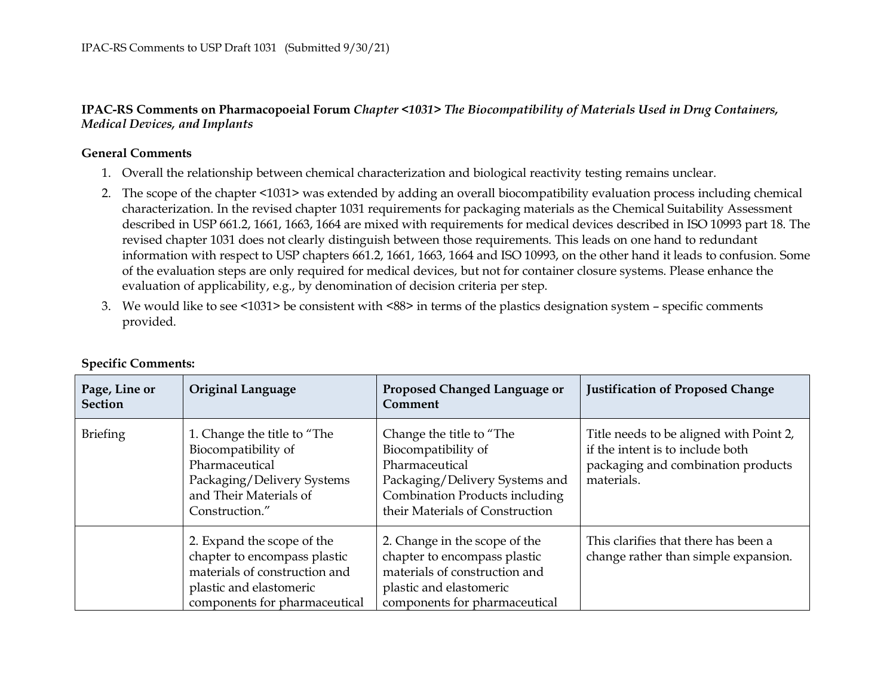**IPAC-RS Comments on Pharmacopoeial Forum** *Chapter <1031> The Biocompatibility of Materials Used in Drug Containers, Medical Devices, and Implants*

## **General Comments**

- 1. Overall the relationship between chemical characterization and biological reactivity testing remains unclear.
- 2. The scope of the chapter <1031> was extended by adding an overall biocompatibility evaluation process including chemical characterization. In the revised chapter 1031 requirements for packaging materials as the Chemical Suitability Assessment described in USP 661.2, 1661, 1663, 1664 are mixed with requirements for medical devices described in ISO 10993 part 18. Therevised chapter 1031 does not clearly distinguish between those requirements. This leads on one hand to redundantinformation with respect to USP chapters 661.2, 1661, 1663, 1664 and ISO 10993, on the other hand it leads to confusion. Someof the evaluation steps are only required for medical devices, but not for container closure systems. Please enhance theevaluation of applicability, e.g., by denomination of decision criteria per step.
- 3. We would like to see <1031> be consistent with <88> in terms of the plastics designation system specific comments provided.

| Page, Line or<br><b>Section</b> | <b>Original Language</b>                                                                                                                                | Proposed Changed Language or<br>Comment                                                                                                                                         | <b>Justification of Proposed Change</b>                                                                                         |
|---------------------------------|---------------------------------------------------------------------------------------------------------------------------------------------------------|---------------------------------------------------------------------------------------------------------------------------------------------------------------------------------|---------------------------------------------------------------------------------------------------------------------------------|
| <b>Briefing</b>                 | 1. Change the title to "The<br>Biocompatibility of<br>Pharmaceutical<br>Packaging/Delivery Systems<br>and Their Materials of<br>Construction."          | Change the title to "The<br>Biocompatibility of<br>Pharmaceutical<br>Packaging/Delivery Systems and<br><b>Combination Products including</b><br>their Materials of Construction | Title needs to be aligned with Point 2,<br>if the intent is to include both<br>packaging and combination products<br>materials. |
|                                 | 2. Expand the scope of the<br>chapter to encompass plastic<br>materials of construction and<br>plastic and elastomeric<br>components for pharmaceutical | 2. Change in the scope of the<br>chapter to encompass plastic<br>materials of construction and<br>plastic and elastomeric<br>components for pharmaceutical                      | This clarifies that there has been a<br>change rather than simple expansion.                                                    |

## **Specific Comments:**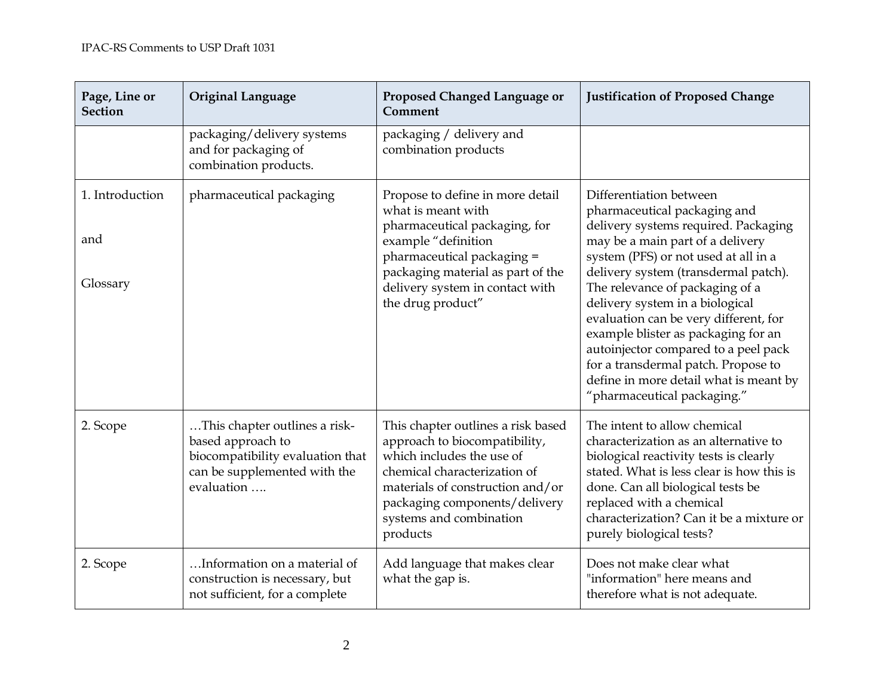| Page, Line or<br><b>Section</b>    | Original Language                                                                                                                    | Proposed Changed Language or<br>Comment                                                                                                                                                                                                      | <b>Justification of Proposed Change</b>                                                                                                                                                                                                                                                                                                                                                                                                                                                                                           |
|------------------------------------|--------------------------------------------------------------------------------------------------------------------------------------|----------------------------------------------------------------------------------------------------------------------------------------------------------------------------------------------------------------------------------------------|-----------------------------------------------------------------------------------------------------------------------------------------------------------------------------------------------------------------------------------------------------------------------------------------------------------------------------------------------------------------------------------------------------------------------------------------------------------------------------------------------------------------------------------|
|                                    | packaging/delivery systems<br>and for packaging of<br>combination products.                                                          | packaging / delivery and<br>combination products                                                                                                                                                                                             |                                                                                                                                                                                                                                                                                                                                                                                                                                                                                                                                   |
| 1. Introduction<br>and<br>Glossary | pharmaceutical packaging                                                                                                             | Propose to define in more detail<br>what is meant with<br>pharmaceutical packaging, for<br>example "definition<br>pharmaceutical packaging =<br>packaging material as part of the<br>delivery system in contact with<br>the drug product"    | Differentiation between<br>pharmaceutical packaging and<br>delivery systems required. Packaging<br>may be a main part of a delivery<br>system (PFS) or not used at all in a<br>delivery system (transdermal patch).<br>The relevance of packaging of a<br>delivery system in a biological<br>evaluation can be very different, for<br>example blister as packaging for an<br>autoinjector compared to a peel pack<br>for a transdermal patch. Propose to<br>define in more detail what is meant by<br>"pharmaceutical packaging." |
| 2. Scope                           | This chapter outlines a risk-<br>based approach to<br>biocompatibility evaluation that<br>can be supplemented with the<br>evaluation | This chapter outlines a risk based<br>approach to biocompatibility,<br>which includes the use of<br>chemical characterization of<br>materials of construction and/or<br>packaging components/delivery<br>systems and combination<br>products | The intent to allow chemical<br>characterization as an alternative to<br>biological reactivity tests is clearly<br>stated. What is less clear is how this is<br>done. Can all biological tests be<br>replaced with a chemical<br>characterization? Can it be a mixture or<br>purely biological tests?                                                                                                                                                                                                                             |
| 2. Scope                           | Information on a material of<br>construction is necessary, but<br>not sufficient, for a complete                                     | Add language that makes clear<br>what the gap is.                                                                                                                                                                                            | Does not make clear what<br>"information" here means and<br>therefore what is not adequate.                                                                                                                                                                                                                                                                                                                                                                                                                                       |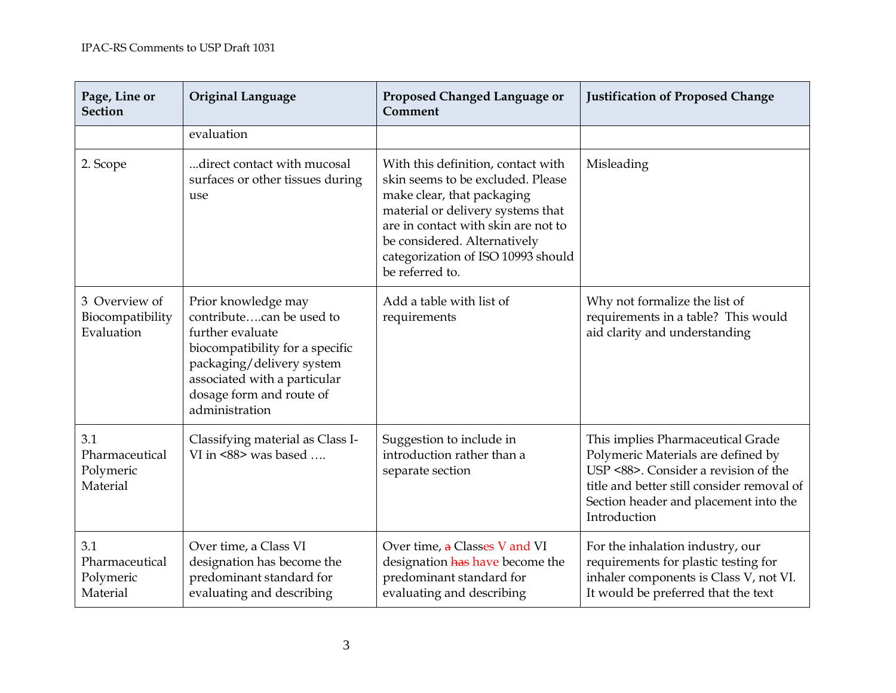| Page, Line or<br><b>Section</b>                 | <b>Original Language</b>                                                                                                                                                                                          | Proposed Changed Language or<br>Comment                                                                                                                                                                                                                                    | <b>Justification of Proposed Change</b>                                                                                                                                                                                |
|-------------------------------------------------|-------------------------------------------------------------------------------------------------------------------------------------------------------------------------------------------------------------------|----------------------------------------------------------------------------------------------------------------------------------------------------------------------------------------------------------------------------------------------------------------------------|------------------------------------------------------------------------------------------------------------------------------------------------------------------------------------------------------------------------|
|                                                 | evaluation                                                                                                                                                                                                        |                                                                                                                                                                                                                                                                            |                                                                                                                                                                                                                        |
| 2. Scope                                        | direct contact with mucosal<br>surfaces or other tissues during<br>use                                                                                                                                            | With this definition, contact with<br>skin seems to be excluded. Please<br>make clear, that packaging<br>material or delivery systems that<br>are in contact with skin are not to<br>be considered. Alternatively<br>categorization of ISO 10993 should<br>be referred to. | Misleading                                                                                                                                                                                                             |
| 3 Overview of<br>Biocompatibility<br>Evaluation | Prior knowledge may<br>contributecan be used to<br>further evaluate<br>biocompatibility for a specific<br>packaging/delivery system<br>associated with a particular<br>dosage form and route of<br>administration | Add a table with list of<br>requirements                                                                                                                                                                                                                                   | Why not formalize the list of<br>requirements in a table? This would<br>aid clarity and understanding                                                                                                                  |
| 3.1<br>Pharmaceutical<br>Polymeric<br>Material  | Classifying material as Class I-<br>VI in <88> was based                                                                                                                                                          | Suggestion to include in<br>introduction rather than a<br>separate section                                                                                                                                                                                                 | This implies Pharmaceutical Grade<br>Polymeric Materials are defined by<br>USP <88>. Consider a revision of the<br>title and better still consider removal of<br>Section header and placement into the<br>Introduction |
| 3.1<br>Pharmaceutical<br>Polymeric<br>Material  | Over time, a Class VI<br>designation has become the<br>predominant standard for<br>evaluating and describing                                                                                                      | Over time, a Classes V and VI<br>designation has have become the<br>predominant standard for<br>evaluating and describing                                                                                                                                                  | For the inhalation industry, our<br>requirements for plastic testing for<br>inhaler components is Class V, not VI.<br>It would be preferred that the text                                                              |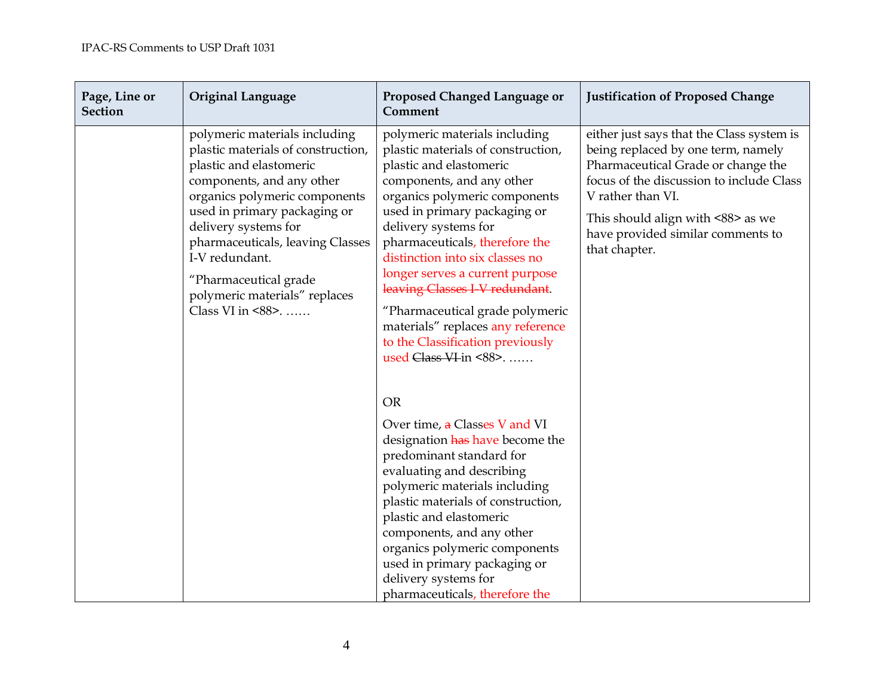| Page, Line or<br><b>Section</b> | <b>Original Language</b>                                                                                                                                                                                                                                                                                                                                  | Proposed Changed Language or<br>Comment                                                                                                                                                                                                                                                                                                                                                                                                                                                             | <b>Justification of Proposed Change</b>                                                                                                                                                                                                                                           |
|---------------------------------|-----------------------------------------------------------------------------------------------------------------------------------------------------------------------------------------------------------------------------------------------------------------------------------------------------------------------------------------------------------|-----------------------------------------------------------------------------------------------------------------------------------------------------------------------------------------------------------------------------------------------------------------------------------------------------------------------------------------------------------------------------------------------------------------------------------------------------------------------------------------------------|-----------------------------------------------------------------------------------------------------------------------------------------------------------------------------------------------------------------------------------------------------------------------------------|
|                                 | polymeric materials including<br>plastic materials of construction,<br>plastic and elastomeric<br>components, and any other<br>organics polymeric components<br>used in primary packaging or<br>delivery systems for<br>pharmaceuticals, leaving Classes<br>I-V redundant.<br>"Pharmaceutical grade<br>polymeric materials" replaces<br>Class VI in <88>. | polymeric materials including<br>plastic materials of construction,<br>plastic and elastomeric<br>components, and any other<br>organics polymeric components<br>used in primary packaging or<br>delivery systems for<br>pharmaceuticals, therefore the<br>distinction into six classes no<br>longer serves a current purpose<br>leaving Classes I-V redundant.<br>"Pharmaceutical grade polymeric<br>materials" replaces any reference<br>to the Classification previously<br>used Class VI-in <88> | either just says that the Class system is<br>being replaced by one term, namely<br>Pharmaceutical Grade or change the<br>focus of the discussion to include Class<br>V rather than VI.<br>This should align with <88> as we<br>have provided similar comments to<br>that chapter. |
|                                 |                                                                                                                                                                                                                                                                                                                                                           | <b>OR</b><br>Over time, a Classes V and VI<br>designation has have become the<br>predominant standard for<br>evaluating and describing<br>polymeric materials including<br>plastic materials of construction,<br>plastic and elastomeric<br>components, and any other<br>organics polymeric components<br>used in primary packaging or<br>delivery systems for<br>pharmaceuticals, therefore the                                                                                                    |                                                                                                                                                                                                                                                                                   |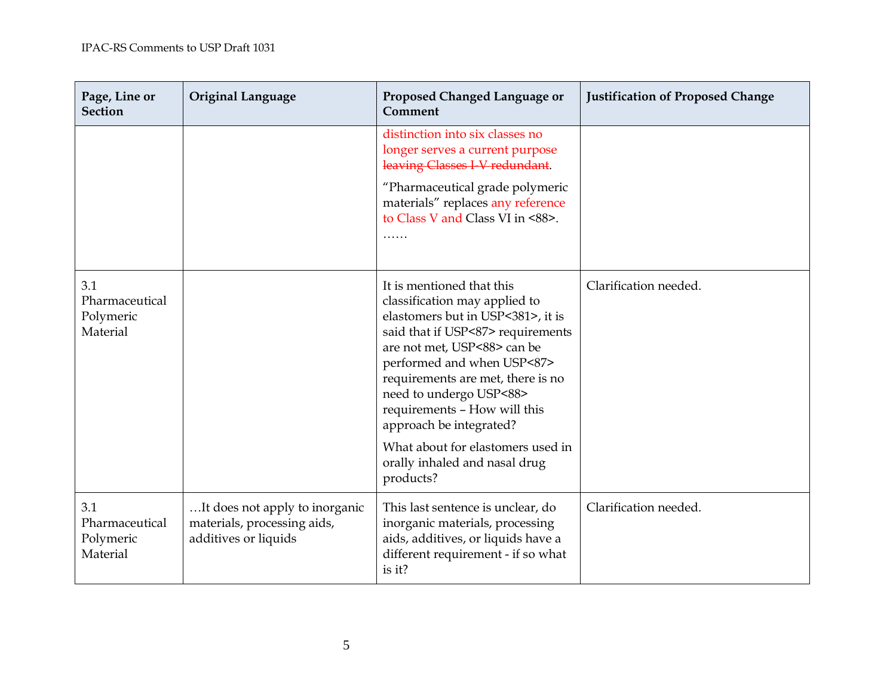| Page, Line or<br><b>Section</b>                | <b>Original Language</b>                                                              | Proposed Changed Language or<br>Comment                                                                                                                                                                                                                                                                                      | <b>Justification of Proposed Change</b> |
|------------------------------------------------|---------------------------------------------------------------------------------------|------------------------------------------------------------------------------------------------------------------------------------------------------------------------------------------------------------------------------------------------------------------------------------------------------------------------------|-----------------------------------------|
|                                                |                                                                                       | distinction into six classes no<br>longer serves a current purpose<br>leaving Classes I-V redundant.                                                                                                                                                                                                                         |                                         |
|                                                |                                                                                       | "Pharmaceutical grade polymeric<br>materials" replaces any reference<br>to Class V and Class VI in <88>.<br>.                                                                                                                                                                                                                |                                         |
| 3.1<br>Pharmaceutical<br>Polymeric<br>Material |                                                                                       | It is mentioned that this<br>classification may applied to<br>elastomers but in USP<381>, it is<br>said that if USP<87> requirements<br>are not met, USP<88> can be<br>performed and when USP<87><br>requirements are met, there is no<br>need to undergo USP<88><br>requirements - How will this<br>approach be integrated? | Clarification needed.                   |
|                                                |                                                                                       | What about for elastomers used in<br>orally inhaled and nasal drug<br>products?                                                                                                                                                                                                                                              |                                         |
| 3.1<br>Pharmaceutical<br>Polymeric<br>Material | It does not apply to inorganic<br>materials, processing aids,<br>additives or liquids | This last sentence is unclear, do<br>inorganic materials, processing<br>aids, additives, or liquids have a<br>different requirement - if so what<br>is it?                                                                                                                                                                   | Clarification needed.                   |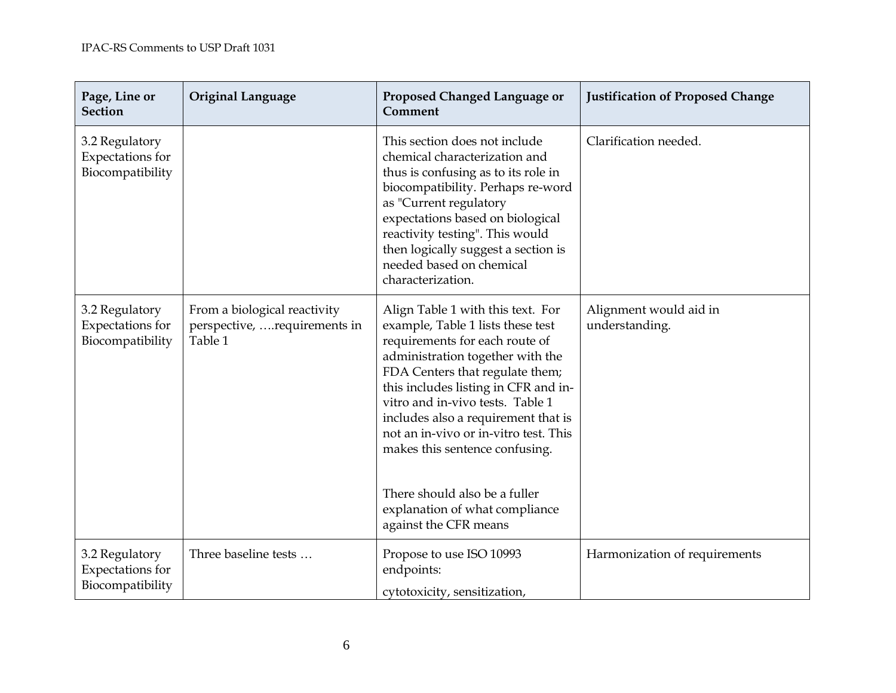| Page, Line or<br><b>Section</b>                        | <b>Original Language</b>                                                | Proposed Changed Language or<br>Comment                                                                                                                                                                                                                                                                                                                                                                                                                                   | <b>Justification of Proposed Change</b>  |
|--------------------------------------------------------|-------------------------------------------------------------------------|---------------------------------------------------------------------------------------------------------------------------------------------------------------------------------------------------------------------------------------------------------------------------------------------------------------------------------------------------------------------------------------------------------------------------------------------------------------------------|------------------------------------------|
| 3.2 Regulatory<br>Expectations for<br>Biocompatibility |                                                                         | This section does not include<br>chemical characterization and<br>thus is confusing as to its role in<br>biocompatibility. Perhaps re-word<br>as "Current regulatory<br>expectations based on biological<br>reactivity testing". This would<br>then logically suggest a section is<br>needed based on chemical<br>characterization.                                                                                                                                       | Clarification needed.                    |
| 3.2 Regulatory<br>Expectations for<br>Biocompatibility | From a biological reactivity<br>perspective, requirements in<br>Table 1 | Align Table 1 with this text. For<br>example, Table 1 lists these test<br>requirements for each route of<br>administration together with the<br>FDA Centers that regulate them;<br>this includes listing in CFR and in-<br>vitro and in-vivo tests. Table 1<br>includes also a requirement that is<br>not an in-vivo or in-vitro test. This<br>makes this sentence confusing.<br>There should also be a fuller<br>explanation of what compliance<br>against the CFR means | Alignment would aid in<br>understanding. |
| 3.2 Regulatory<br>Expectations for<br>Biocompatibility | Three baseline tests                                                    | Propose to use ISO 10993<br>endpoints:<br>cytotoxicity, sensitization,                                                                                                                                                                                                                                                                                                                                                                                                    | Harmonization of requirements            |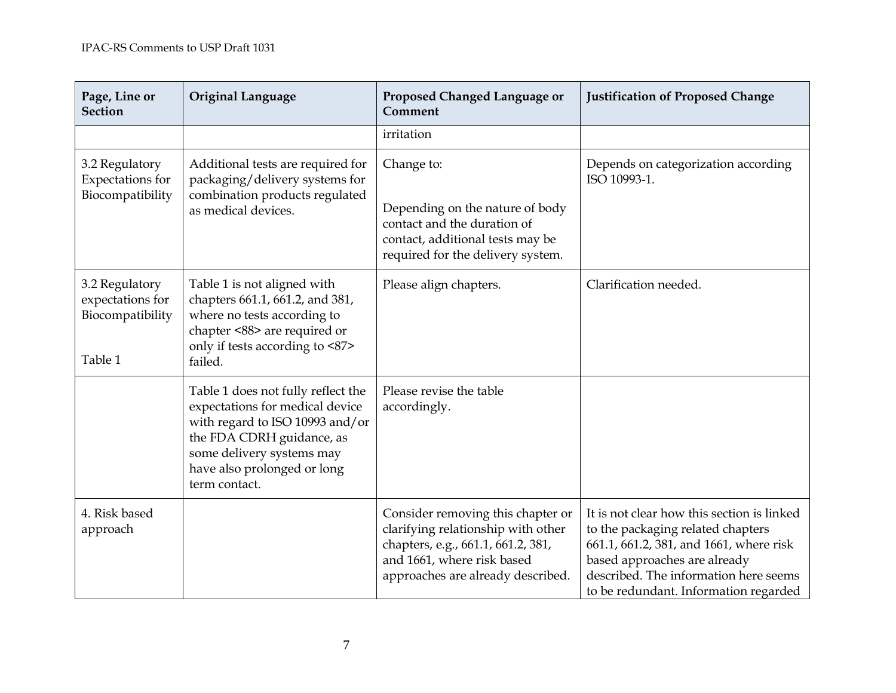| Page, Line or<br><b>Section</b>                                   | <b>Original Language</b>                                                                                                                                                                                           | Proposed Changed Language or<br>Comment                                                                                                                                          | <b>Justification of Proposed Change</b>                                                                                                                                                                                                      |
|-------------------------------------------------------------------|--------------------------------------------------------------------------------------------------------------------------------------------------------------------------------------------------------------------|----------------------------------------------------------------------------------------------------------------------------------------------------------------------------------|----------------------------------------------------------------------------------------------------------------------------------------------------------------------------------------------------------------------------------------------|
|                                                                   |                                                                                                                                                                                                                    | irritation                                                                                                                                                                       |                                                                                                                                                                                                                                              |
| 3.2 Regulatory<br>Expectations for<br>Biocompatibility            | Additional tests are required for<br>packaging/delivery systems for<br>combination products regulated<br>as medical devices.                                                                                       | Change to:<br>Depending on the nature of body<br>contact and the duration of<br>contact, additional tests may be<br>required for the delivery system.                            | Depends on categorization according<br>ISO 10993-1.                                                                                                                                                                                          |
| 3.2 Regulatory<br>expectations for<br>Biocompatibility<br>Table 1 | Table 1 is not aligned with<br>chapters 661.1, 661.2, and 381,<br>where no tests according to<br>chapter <88> are required or<br>only if tests according to <87><br>failed.                                        | Please align chapters.                                                                                                                                                           | Clarification needed.                                                                                                                                                                                                                        |
|                                                                   | Table 1 does not fully reflect the<br>expectations for medical device<br>with regard to ISO 10993 and/or<br>the FDA CDRH guidance, as<br>some delivery systems may<br>have also prolonged or long<br>term contact. | Please revise the table<br>accordingly.                                                                                                                                          |                                                                                                                                                                                                                                              |
| 4. Risk based<br>approach                                         |                                                                                                                                                                                                                    | Consider removing this chapter or<br>clarifying relationship with other<br>chapters, e.g., 661.1, 661.2, 381,<br>and 1661, where risk based<br>approaches are already described. | It is not clear how this section is linked<br>to the packaging related chapters<br>661.1, 661.2, 381, and 1661, where risk<br>based approaches are already<br>described. The information here seems<br>to be redundant. Information regarded |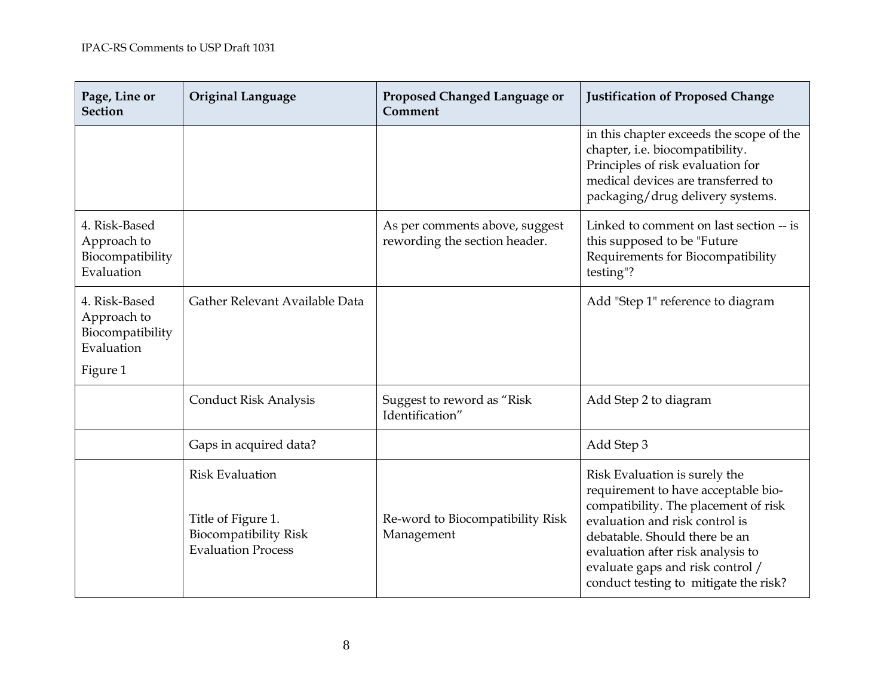| Page, Line or<br><b>Section</b>                                | <b>Original Language</b>                                                                                  | Proposed Changed Language or<br>Comment                         | <b>Justification of Proposed Change</b>                                                                                                                                                                                                                                                           |
|----------------------------------------------------------------|-----------------------------------------------------------------------------------------------------------|-----------------------------------------------------------------|---------------------------------------------------------------------------------------------------------------------------------------------------------------------------------------------------------------------------------------------------------------------------------------------------|
|                                                                |                                                                                                           |                                                                 | in this chapter exceeds the scope of the<br>chapter, i.e. biocompatibility.<br>Principles of risk evaluation for<br>medical devices are transferred to<br>packaging/drug delivery systems.                                                                                                        |
| 4. Risk-Based<br>Approach to<br>Biocompatibility<br>Evaluation |                                                                                                           | As per comments above, suggest<br>rewording the section header. | Linked to comment on last section -- is<br>this supposed to be "Future<br>Requirements for Biocompatibility<br>testing"?                                                                                                                                                                          |
| 4. Risk-Based<br>Approach to<br>Biocompatibility<br>Evaluation | Gather Relevant Available Data                                                                            |                                                                 | Add "Step 1" reference to diagram                                                                                                                                                                                                                                                                 |
| Figure 1                                                       |                                                                                                           |                                                                 |                                                                                                                                                                                                                                                                                                   |
|                                                                | <b>Conduct Risk Analysis</b>                                                                              | Suggest to reword as "Risk<br>Identification"                   | Add Step 2 to diagram                                                                                                                                                                                                                                                                             |
|                                                                | Gaps in acquired data?                                                                                    |                                                                 | Add Step 3                                                                                                                                                                                                                                                                                        |
|                                                                | <b>Risk Evaluation</b><br>Title of Figure 1.<br><b>Biocompatibility Risk</b><br><b>Evaluation Process</b> | Re-word to Biocompatibility Risk<br>Management                  | Risk Evaluation is surely the<br>requirement to have acceptable bio-<br>compatibility. The placement of risk<br>evaluation and risk control is<br>debatable. Should there be an<br>evaluation after risk analysis to<br>evaluate gaps and risk control /<br>conduct testing to mitigate the risk? |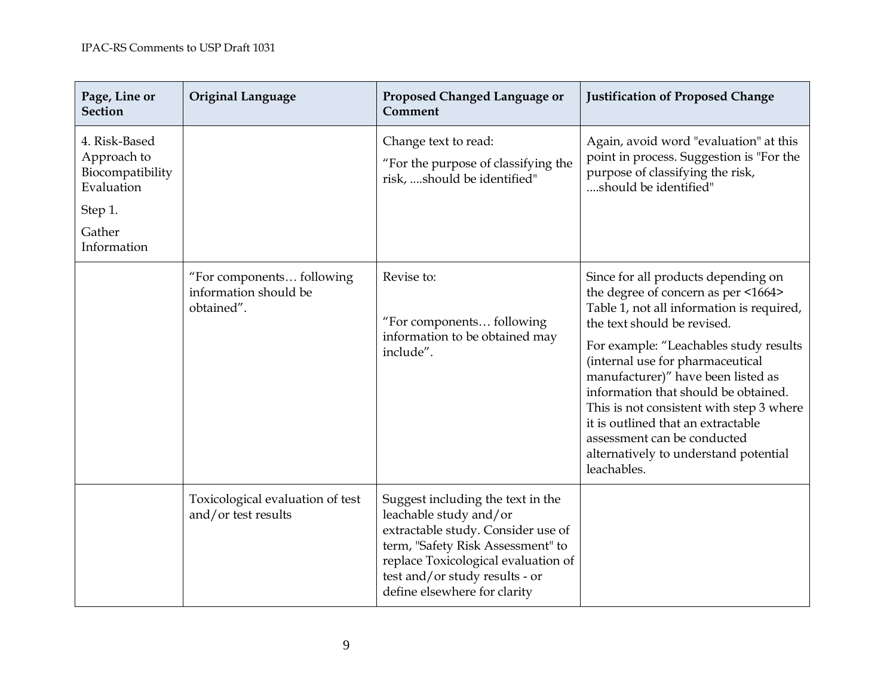| Page, Line or<br><b>Section</b>                                                                    | <b>Original Language</b>                                         | Proposed Changed Language or<br>Comment                                                                                                                                                                                                         | <b>Justification of Proposed Change</b>                                                                                                                                                                                                                                                                                                                                                                                                                                                     |
|----------------------------------------------------------------------------------------------------|------------------------------------------------------------------|-------------------------------------------------------------------------------------------------------------------------------------------------------------------------------------------------------------------------------------------------|---------------------------------------------------------------------------------------------------------------------------------------------------------------------------------------------------------------------------------------------------------------------------------------------------------------------------------------------------------------------------------------------------------------------------------------------------------------------------------------------|
| 4. Risk-Based<br>Approach to<br>Biocompatibility<br>Evaluation<br>Step 1.<br>Gather<br>Information |                                                                  | Change text to read:<br>"For the purpose of classifying the<br>risk, should be identified"                                                                                                                                                      | Again, avoid word "evaluation" at this<br>point in process. Suggestion is "For the<br>purpose of classifying the risk,<br>should be identified"                                                                                                                                                                                                                                                                                                                                             |
|                                                                                                    | "For components following<br>information should be<br>obtained". | Revise to:<br>"For components following<br>information to be obtained may<br>include".                                                                                                                                                          | Since for all products depending on<br>the degree of concern as per <1664><br>Table 1, not all information is required,<br>the text should be revised.<br>For example: "Leachables study results<br>(internal use for pharmaceutical<br>manufacturer)" have been listed as<br>information that should be obtained.<br>This is not consistent with step 3 where<br>it is outlined that an extractable<br>assessment can be conducted<br>alternatively to understand potential<br>leachables. |
|                                                                                                    | Toxicological evaluation of test<br>and/or test results          | Suggest including the text in the<br>leachable study and/or<br>extractable study. Consider use of<br>term, "Safety Risk Assessment" to<br>replace Toxicological evaluation of<br>test and/or study results - or<br>define elsewhere for clarity |                                                                                                                                                                                                                                                                                                                                                                                                                                                                                             |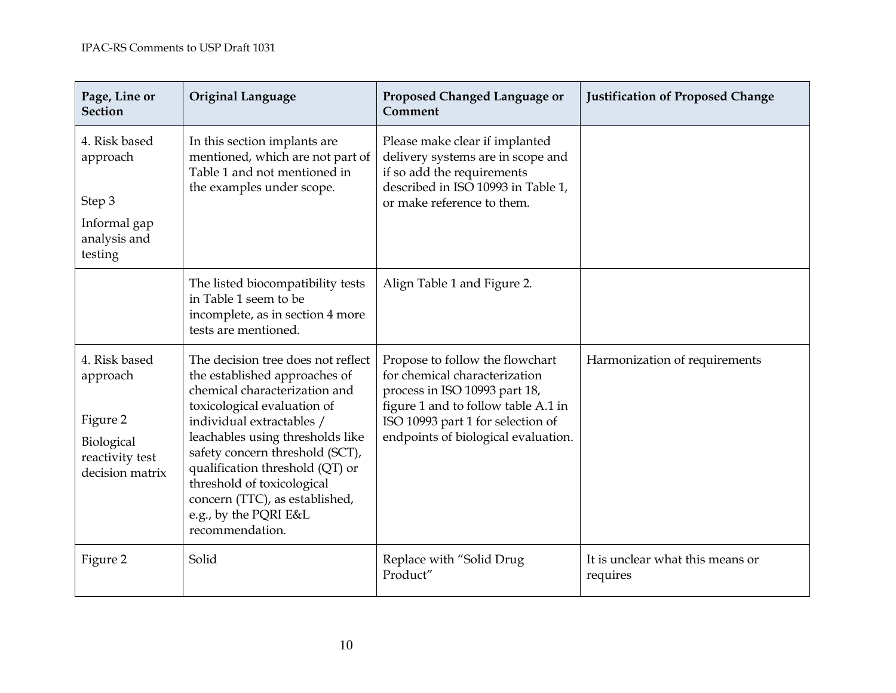| Page, Line or<br><b>Section</b>                                                           | <b>Original Language</b>                                                                                                                                                                                                                                                                                                                                                               | Proposed Changed Language or<br>Comment                                                                                                                                                                              | <b>Justification of Proposed Change</b>      |
|-------------------------------------------------------------------------------------------|----------------------------------------------------------------------------------------------------------------------------------------------------------------------------------------------------------------------------------------------------------------------------------------------------------------------------------------------------------------------------------------|----------------------------------------------------------------------------------------------------------------------------------------------------------------------------------------------------------------------|----------------------------------------------|
| 4. Risk based<br>approach<br>Step 3<br>Informal gap<br>analysis and<br>testing            | In this section implants are<br>mentioned, which are not part of<br>Table 1 and not mentioned in<br>the examples under scope.                                                                                                                                                                                                                                                          | Please make clear if implanted<br>delivery systems are in scope and<br>if so add the requirements<br>described in ISO 10993 in Table 1,<br>or make reference to them.                                                |                                              |
|                                                                                           | The listed biocompatibility tests<br>in Table 1 seem to be<br>incomplete, as in section 4 more<br>tests are mentioned.                                                                                                                                                                                                                                                                 | Align Table 1 and Figure 2.                                                                                                                                                                                          |                                              |
| 4. Risk based<br>approach<br>Figure 2<br>Biological<br>reactivity test<br>decision matrix | The decision tree does not reflect<br>the established approaches of<br>chemical characterization and<br>toxicological evaluation of<br>individual extractables /<br>leachables using thresholds like<br>safety concern threshold (SCT),<br>qualification threshold (QT) or<br>threshold of toxicological<br>concern (TTC), as established,<br>e.g., by the PQRI E&L<br>recommendation. | Propose to follow the flowchart<br>for chemical characterization<br>process in ISO 10993 part 18,<br>figure 1 and to follow table A.1 in<br>ISO 10993 part 1 for selection of<br>endpoints of biological evaluation. | Harmonization of requirements                |
| Figure 2                                                                                  | Solid                                                                                                                                                                                                                                                                                                                                                                                  | Replace with "Solid Drug<br>Product"                                                                                                                                                                                 | It is unclear what this means or<br>requires |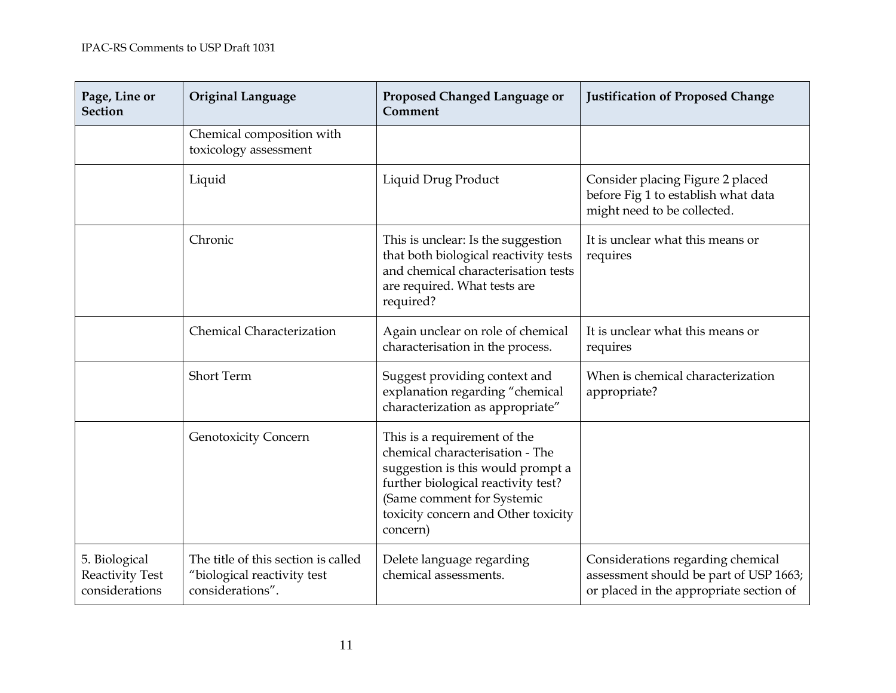| Page, Line or<br><b>Section</b>                           | <b>Original Language</b>                                                               | Proposed Changed Language or<br>Comment                                                                                                                                                                                      | <b>Justification of Proposed Change</b>                                                                                |
|-----------------------------------------------------------|----------------------------------------------------------------------------------------|------------------------------------------------------------------------------------------------------------------------------------------------------------------------------------------------------------------------------|------------------------------------------------------------------------------------------------------------------------|
|                                                           | Chemical composition with<br>toxicology assessment                                     |                                                                                                                                                                                                                              |                                                                                                                        |
|                                                           | Liquid                                                                                 | Liquid Drug Product                                                                                                                                                                                                          | Consider placing Figure 2 placed<br>before Fig 1 to establish what data<br>might need to be collected.                 |
|                                                           | Chronic                                                                                | This is unclear: Is the suggestion<br>that both biological reactivity tests<br>and chemical characterisation tests<br>are required. What tests are<br>required?                                                              | It is unclear what this means or<br>requires                                                                           |
|                                                           | <b>Chemical Characterization</b>                                                       | Again unclear on role of chemical<br>characterisation in the process.                                                                                                                                                        | It is unclear what this means or<br>requires                                                                           |
|                                                           | <b>Short Term</b>                                                                      | Suggest providing context and<br>explanation regarding "chemical<br>characterization as appropriate"                                                                                                                         | When is chemical characterization<br>appropriate?                                                                      |
|                                                           | <b>Genotoxicity Concern</b>                                                            | This is a requirement of the<br>chemical characterisation - The<br>suggestion is this would prompt a<br>further biological reactivity test?<br>(Same comment for Systemic<br>toxicity concern and Other toxicity<br>concern) |                                                                                                                        |
| 5. Biological<br><b>Reactivity Test</b><br>considerations | The title of this section is called<br>"biological reactivity test<br>considerations". | Delete language regarding<br>chemical assessments.                                                                                                                                                                           | Considerations regarding chemical<br>assessment should be part of USP 1663;<br>or placed in the appropriate section of |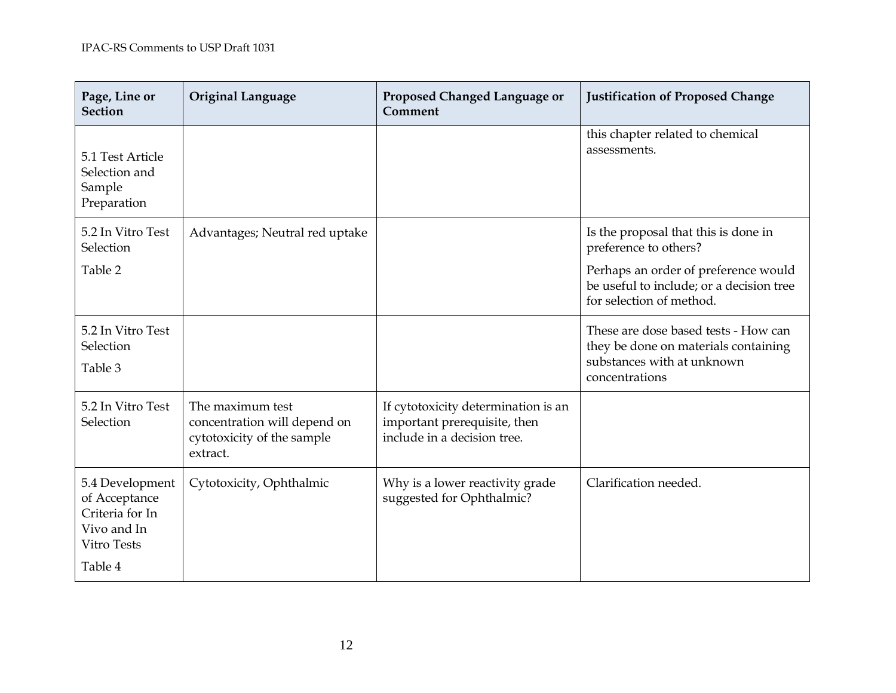| Page, Line or<br><b>Section</b>                                                                     | <b>Original Language</b>                                                                   | Proposed Changed Language or<br>Comment                                                            | <b>Justification of Proposed Change</b>                                                                                                                                       |
|-----------------------------------------------------------------------------------------------------|--------------------------------------------------------------------------------------------|----------------------------------------------------------------------------------------------------|-------------------------------------------------------------------------------------------------------------------------------------------------------------------------------|
| 5.1 Test Article<br>Selection and<br>Sample<br>Preparation                                          |                                                                                            |                                                                                                    | this chapter related to chemical<br>assessments.                                                                                                                              |
| 5.2 In Vitro Test<br>Selection<br>Table 2                                                           | Advantages; Neutral red uptake                                                             |                                                                                                    | Is the proposal that this is done in<br>preference to others?<br>Perhaps an order of preference would<br>be useful to include; or a decision tree<br>for selection of method. |
| 5.2 In Vitro Test<br>Selection<br>Table 3                                                           |                                                                                            |                                                                                                    | These are dose based tests - How can<br>they be done on materials containing<br>substances with at unknown<br>concentrations                                                  |
| 5.2 In Vitro Test<br>Selection                                                                      | The maximum test<br>concentration will depend on<br>cytotoxicity of the sample<br>extract. | If cytotoxicity determination is an<br>important prerequisite, then<br>include in a decision tree. |                                                                                                                                                                               |
| 5.4 Development<br>of Acceptance<br>Criteria for In<br>Vivo and In<br><b>Vitro Tests</b><br>Table 4 | Cytotoxicity, Ophthalmic                                                                   | Why is a lower reactivity grade<br>suggested for Ophthalmic?                                       | Clarification needed.                                                                                                                                                         |